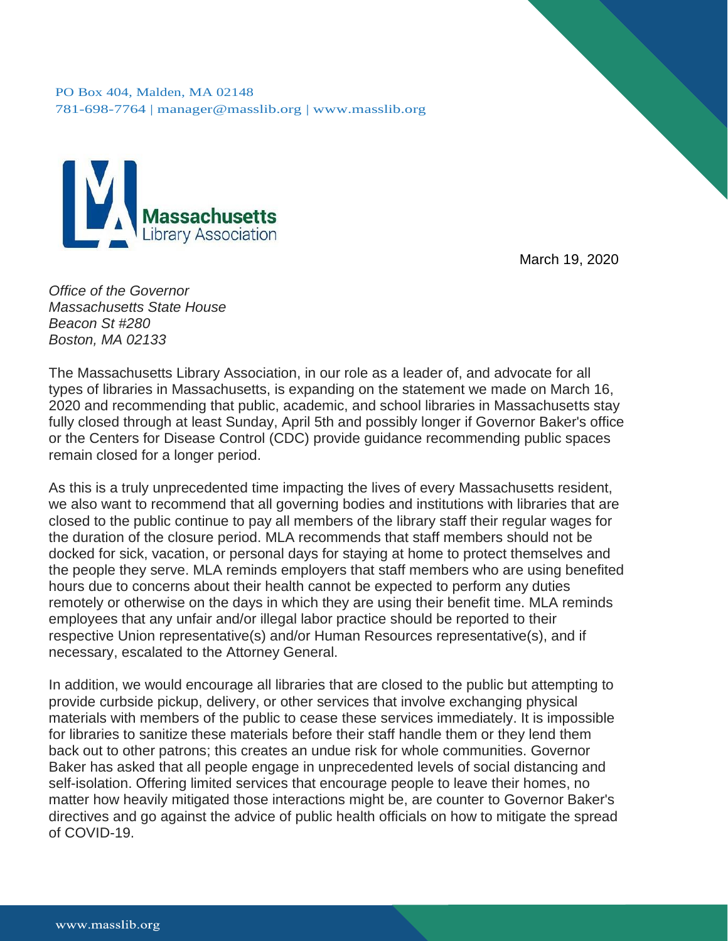PO Box 404, Malden, MA 02148 781-698-7764 | [manager@masslib.org](mailto:manager@masslib.org) | [www.masslib.org](http://www.masslib.org/)



March 19, 2020

*Office of the Governor Massachusetts State House Beacon St #280 Boston, MA 02133*

The Massachusetts Library Association, in our role as a leader of, and advocate for all types of libraries in Massachusetts, is expanding on the statement we made on March 16, 2020 and recommending that public, academic, and school libraries in Massachusetts stay fully closed through at least Sunday, April 5th and possibly longer if Governor Baker's office or the Centers for Disease Control (CDC) provide guidance recommending public spaces remain closed for a longer period.

As this is a truly unprecedented time impacting the lives of every Massachusetts resident, we also want to recommend that all governing bodies and institutions with libraries that are closed to the public continue to pay all members of the library staff their regular wages for the duration of the closure period. MLA recommends that staff members should not be docked for sick, vacation, or personal days for staying at home to protect themselves and the people they serve. MLA reminds employers that staff members who are using benefited hours due to concerns about their health cannot be expected to perform any duties remotely or otherwise on the days in which they are using their benefit time. MLA reminds employees that any unfair and/or illegal labor practice should be reported to their respective Union representative(s) and/or Human Resources representative(s), and if necessary, escalated to the Attorney General.

In addition, we would encourage all libraries that are closed to the public but attempting to provide curbside pickup, delivery, or other services that involve exchanging physical materials with members of the public to cease these services immediately. It is impossible for libraries to sanitize these materials before their staff handle them or they lend them back out to other patrons; this creates an undue risk for whole communities. Governor Baker has asked that all people engage in unprecedented levels of social distancing and self-isolation. Offering limited services that encourage people to leave their homes, no matter how heavily mitigated those interactions might be, are counter to Governor Baker's directives and go against the advice of public health officials on how to mitigate the spread of COVID-19.